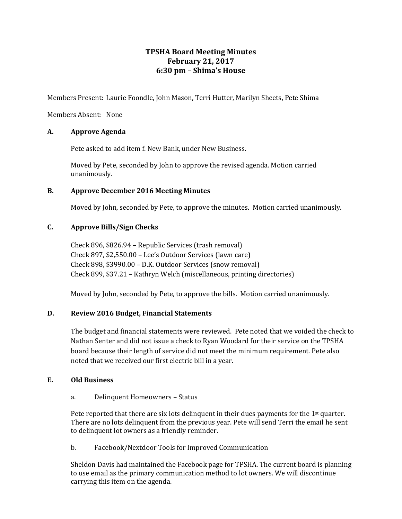# **TPSHA Board Meeting Minutes February 21, 2017 6:30 pm – Shima's House**

Members Present: Laurie Foondle, John Mason, Terri Hutter, Marilyn Sheets, Pete Shima

Members Absent: None

## **A. Approve Agenda**

Pete asked to add item f. New Bank, under New Business.

Moved by Pete, seconded by John to approve the revised agenda. Motion carried unanimously.

## **B. Approve December 2016 Meeting Minutes**

Moved by John, seconded by Pete, to approve the minutes. Motion carried unanimously.

## **C. Approve Bills/Sign Checks**

Check 896, \$826.94 – Republic Services (trash removal) Check 897, \$2,550.00 – Lee's Outdoor Services (lawn care) Check 898, \$3990.00 – D.K. Outdoor Services (snow removal) Check 899, \$37.21 – Kathryn Welch (miscellaneous, printing directories)

Moved by John, seconded by Pete, to approve the bills. Motion carried unanimously.

# **D. Review 2016 Budget, Financial Statements**

The budget and financial statements were reviewed. Pete noted that we voided the check to Nathan Senter and did not issue a check to Ryan Woodard for their service on the TPSHA board because their length of service did not meet the minimum requirement. Pete also noted that we received our first electric bill in a year.

#### **E. Old Business**

#### a. Delinquent Homeowners – Status

Pete reported that there are six lots delinguent in their dues payments for the  $1<sup>st</sup>$  quarter. There are no lots delinquent from the previous year. Pete will send Terri the email he sent to delinquent lot owners as a friendly reminder.

b. Facebook/Nextdoor Tools for Improved Communication

Sheldon Davis had maintained the Facebook page for TPSHA. The current board is planning to use email as the primary communication method to lot owners. We will discontinue carrying this item on the agenda.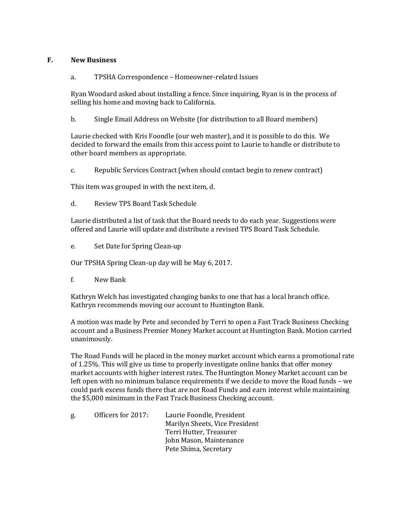## **F. New Business**

## a. TPSHA Correspondence – Homeowner-related Issues

Ryan Woodard asked about installing a fence. Since inquiring, Ryan is in the process of selling his home and moving back to California.

b. Single Email Address on Website (for distribution to all Board members)

Laurie checked with Kris Foondle (our web master), and it is possible to do this. We decided to forward the emails from this access point to Laurie to handle or distribute to other board members as appropriate.

c. Republic Services Contract (when should contact begin to renew contract)

This item was grouped in with the next item, d.

d. Review TPS Board Task Schedule

Laurie distributed a list of task that the Board needs to do each year. Suggestions were offered and Laurie will update and distribute a revised TPS Board Task Schedule.

e. Set Date for Spring Clean-up

Our TPSHA Spring Clean-up day will be May 6, 2017.

f. New Bank

Kathryn Welch has investigated changing banks to one that has a local branch office. Kathryn recommends moving our account to Huntington Bank.

A motion was made by Pete and seconded by Terri to open a Fast Track Business Checking account and a Business Premier Money Market account at Huntington Bank. Motion carried unanimously.

The Road Funds will be placed in the money market account which earns a promotional rate of 1.25%. This will give us time to properly investigate online banks that offer money market accounts with higher interest rates. The Huntington Money Market account can be left open with no minimum balance requirements if we decide to move the Road funds – we could park excess funds there that are not Road Funds and earn interest while maintaining the \$5,000 minimum in the Fast Track Business Checking account.

| g. | Officers for 2017: | Laurie Foondle, President      |
|----|--------------------|--------------------------------|
|    |                    | Marilyn Sheets, Vice President |
|    |                    | Terri Hutter, Treasurer        |
|    |                    | John Mason, Maintenance        |
|    |                    | Pete Shima, Secretary          |